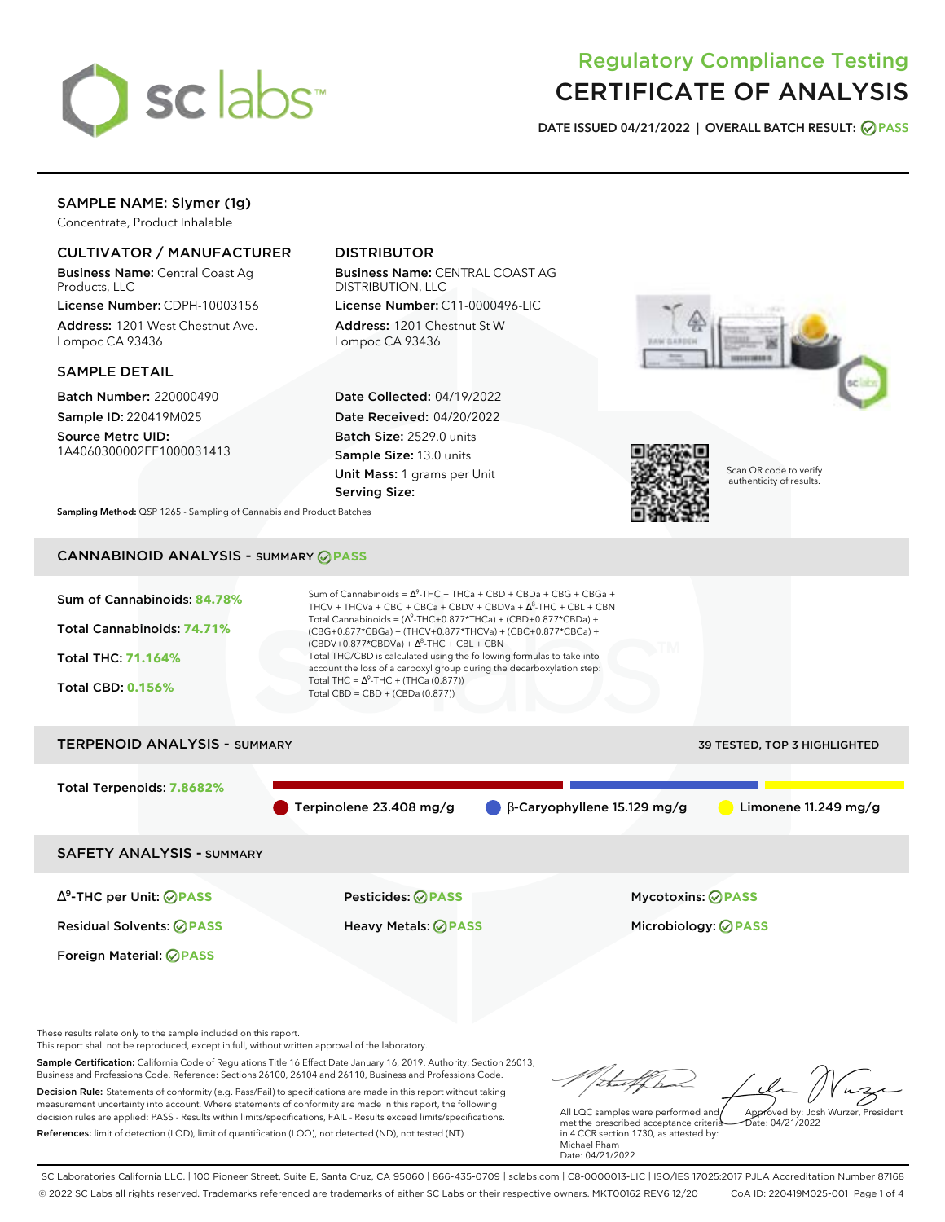

# Regulatory Compliance Testing CERTIFICATE OF ANALYSIS

**DATE ISSUED 04/21/2022 | OVERALL BATCH RESULT: PASS**

## SAMPLE NAME: Slymer (1g)

Concentrate, Product Inhalable

### CULTIVATOR / MANUFACTURER

Business Name: Central Coast Ag Products, LLC

License Number: CDPH-10003156 Address: 1201 West Chestnut Ave. Lompoc CA 93436

### SAMPLE DETAIL

Batch Number: 220000490 Sample ID: 220419M025

Source Metrc UID: 1A4060300002EE1000031413

# DISTRIBUTOR

Business Name: CENTRAL COAST AG DISTRIBUTION, LLC

License Number: C11-0000496-LIC Address: 1201 Chestnut St W Lompoc CA 93436

Date Collected: 04/19/2022 Date Received: 04/20/2022 Batch Size: 2529.0 units Sample Size: 13.0 units Unit Mass: 1 grams per Unit Serving Size:





Scan QR code to verify authenticity of results.

**Sampling Method:** QSP 1265 - Sampling of Cannabis and Product Batches

# CANNABINOID ANALYSIS - SUMMARY **PASS**



Total Terpenoids: **7.8682%**

Terpinolene 23.408 mg/g β-Caryophyllene 15.129 mg/g Limonene 11.249 mg/g

SAFETY ANALYSIS - SUMMARY

∆ 9 -THC per Unit: **PASS** Pesticides: **PASS** Mycotoxins: **PASS**

Foreign Material: **PASS**

Residual Solvents: **PASS** Heavy Metals: **PASS** Microbiology: **PASS**

These results relate only to the sample included on this report.

This report shall not be reproduced, except in full, without written approval of the laboratory.

Sample Certification: California Code of Regulations Title 16 Effect Date January 16, 2019. Authority: Section 26013, Business and Professions Code. Reference: Sections 26100, 26104 and 26110, Business and Professions Code. Decision Rule: Statements of conformity (e.g. Pass/Fail) to specifications are made in this report without taking measurement uncertainty into account. Where statements of conformity are made in this report, the following decision rules are applied: PASS - Results within limits/specifications, FAIL - Results exceed limits/specifications.

References: limit of detection (LOD), limit of quantification (LOQ), not detected (ND), not tested (NT)

Approved by: Josh Wurzer, President

 $hat: 04/21/2022$ 

All LQC samples were performed and met the prescribed acceptance criteria in 4 CCR section 1730, as attested by: Michael Pham Date: 04/21/2022

SC Laboratories California LLC. | 100 Pioneer Street, Suite E, Santa Cruz, CA 95060 | 866-435-0709 | sclabs.com | C8-0000013-LIC | ISO/IES 17025:2017 PJLA Accreditation Number 87168 © 2022 SC Labs all rights reserved. Trademarks referenced are trademarks of either SC Labs or their respective owners. MKT00162 REV6 12/20 CoA ID: 220419M025-001 Page 1 of 4